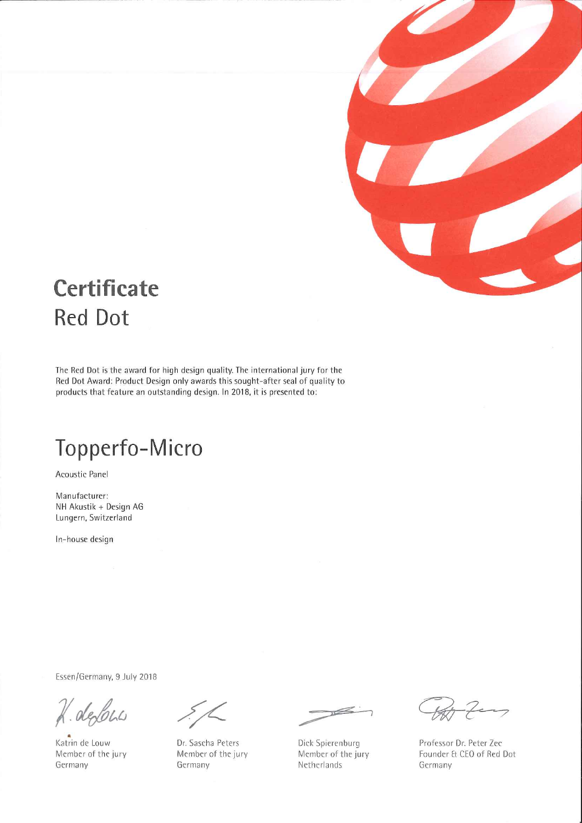

# **Certificate Red Dot**

The Red Dot is the award for high design quality. The international jury for the Red Dot Award: Product Design only awards this sought-after seal of quality to products that feature an outstanding design. In 2018, it is presented to:

## Topperfo-Micro

Acoustic Panel

Manufacturer: NH Akustik + Design AG Lungern, Switzerland

In-house design

Essen/Germany, 9 July 2018

K. defons

Katrin de Louw Member of the jury Germany

Dr. Sascha Peters Member of the jury Germany

 $\geq$ 

Dick Spierenburg Member of the jury Netherlands

Professor Dr. Peter Zec Founder & CEO of Red Dot Germany